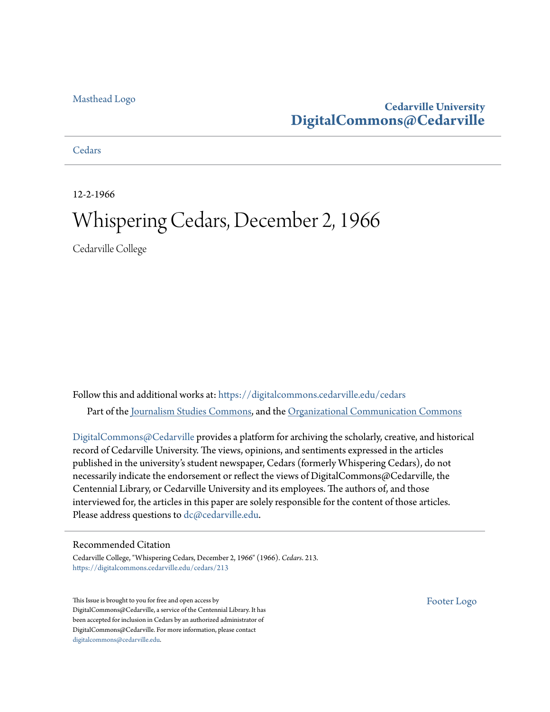### [Masthead Logo](http://www.cedarville.edu/?utm_source=digitalcommons.cedarville.edu%2Fcedars%2F213&utm_medium=PDF&utm_campaign=PDFCoverPages)

## **Cedarville University [DigitalCommons@Cedarville](https://digitalcommons.cedarville.edu?utm_source=digitalcommons.cedarville.edu%2Fcedars%2F213&utm_medium=PDF&utm_campaign=PDFCoverPages)**

**[Cedars](https://digitalcommons.cedarville.edu/cedars?utm_source=digitalcommons.cedarville.edu%2Fcedars%2F213&utm_medium=PDF&utm_campaign=PDFCoverPages)** 

12-2-1966

# Whispering Cedars, December 2, 1966

Cedarville College

Follow this and additional works at: [https://digitalcommons.cedarville.edu/cedars](https://digitalcommons.cedarville.edu/cedars?utm_source=digitalcommons.cedarville.edu%2Fcedars%2F213&utm_medium=PDF&utm_campaign=PDFCoverPages) Part of the [Journalism Studies Commons](http://network.bepress.com/hgg/discipline/333?utm_source=digitalcommons.cedarville.edu%2Fcedars%2F213&utm_medium=PDF&utm_campaign=PDFCoverPages), and the [Organizational Communication Commons](http://network.bepress.com/hgg/discipline/335?utm_source=digitalcommons.cedarville.edu%2Fcedars%2F213&utm_medium=PDF&utm_campaign=PDFCoverPages)

[DigitalCommons@Cedarville](http://digitalcommons.cedarville.edu/) provides a platform for archiving the scholarly, creative, and historical record of Cedarville University. The views, opinions, and sentiments expressed in the articles published in the university's student newspaper, Cedars (formerly Whispering Cedars), do not necessarily indicate the endorsement or reflect the views of DigitalCommons@Cedarville, the Centennial Library, or Cedarville University and its employees. The authors of, and those interviewed for, the articles in this paper are solely responsible for the content of those articles. Please address questions to [dc@cedarville.edu.](mailto:dc@cedarville.edu)

### Recommended Citation

Cedarville College, "Whispering Cedars, December 2, 1966" (1966). *Cedars*. 213. [https://digitalcommons.cedarville.edu/cedars/213](https://digitalcommons.cedarville.edu/cedars/213?utm_source=digitalcommons.cedarville.edu%2Fcedars%2F213&utm_medium=PDF&utm_campaign=PDFCoverPages)

This Issue is brought to you for free and open access by DigitalCommons@Cedarville, a service of the Centennial Library. It has been accepted for inclusion in Cedars by an authorized administrator of DigitalCommons@Cedarville. For more information, please contact [digitalcommons@cedarville.edu](mailto:digitalcommons@cedarville.edu).

[Footer Logo](http://www.cedarville.edu/Academics/Library.aspx?utm_source=digitalcommons.cedarville.edu%2Fcedars%2F213&utm_medium=PDF&utm_campaign=PDFCoverPages)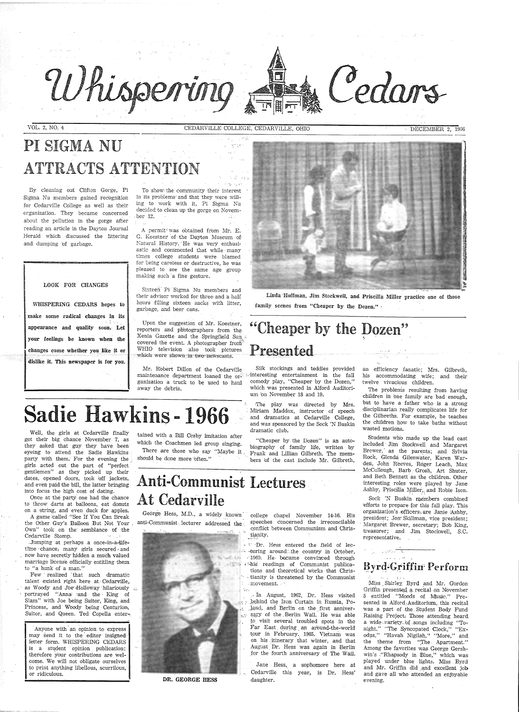

VOL. 2, NO. 4 CEDARVILLE COLLEGE, CEDARVILLE, OHIO

DECEMBER 2, 1966

Calars

# PI SIGMA NU ATTRACTS ATTENTION

To show: the community their interest in its problems· and that they were willing to work with it, Pi Sigma Nu decided to clean up the gorge on Novem-. ber 12. in Britis

By cleaning out Clifton Gorge, Pi Sigma Nu members gained recognition for Cedarville College as well as their organization. They became concerned about the pollution in the gorge after reading an article in the Dayton Journal Herald which discussed the littering and dumping bf garbage.

#### LOOK FOR CHANGES

A permit<sup>\*</sup>was obtained from Mr. E. G. Koestner of the Dayton Museum of Natural History. He was very enthusiastic and commented that while many times college students were blamed for being careless or destructive, he was pleased to see the same age group makirig such ·a fine gesture.

Sixteen<sup>'</sup> Pi Sigma Nu members and their advisor worked for three- and a half hours filling sixteen sacks with litter, garbage, and beer cans.

appearance and quality soon. Let Upon the suggestion of Mr. Koestner, reporters and phbtographers from the Xenia Gazette and the Springfield Sun , covered the event. A photographer from WHIO television also took pictures which were shown in two newscasts.

> Silk stockings and teddies provided  $\omega$ -interesting entertainment in the fall comedy play, "Cheaper by the Dozen," which was presented in Alford Auditorium bn November 18 and 19.

The play was directed by Mrs. · Miriam Maddox, instructor of speech and dramatics at Cedarville College, and was sponsored by the Sock 'N Buskin

Linda ·Hoffman, Jim Stockwell, and Priscilla Miller practice one of those family scenes from "Cheaper by the Dozen." .

WHISPERING CEDARS hopes to make some radical changes in its your feelings be known when the changes come whether you like it or dislike it. This newspaper is for you.

Well, the girls at Cedarville finally tained with a Bill Cosby imitation after dramatic club. got their big chance November 7, as they asked that guy they have been eyeing to attend the Sadie Hawkins party with them.' For the evening the girls acted out the part of "perfect gentlemen" as they picked up their dates, opened doors, took bff jackets, and even paid the bill, the latter bringing. into focus the high cost of dating.

Once at the party one had the chance to throw darts at balloons, eat donuts on a ·string, and even duck for apples. A game :called "See If You Can Break the Other Guy's Balloon But Not Your . Own" took on the· semblance of the Cedarville Stomp.

Few · realized · that such dramatic talent existed right here at Cedarville, as Woody and Joe Holloway hilariously  $\ldots$ portrayed "Anna: and the King of Siam" with Joe being Suitor, King, and Princess, and Woody being Centurion, Suitor, and Queen. Ted Copella enter-

"Cheaper by the Dozen" is an autobiography of family life, written by Frank and Lillian Gilbreth. The members bf the cast include Mr. Gilbreth,

which the Coachmen led group singing. There are those who say "Maybe it

should be done more bften."

# "Cheaper by the Dozen" Presented-

Mr. R'obert Dillon of the Cedarville maintenance department loaned the organization a truck to be used to haul away the debris.

# Anti-Communist Lectures At Cedarville

anti-Communist lecturer addressed the



George Hess, M.D., a widely known college chapel November 14-16. His speeches concerned the irreconcilable conflict between Communism and Christianity.

> .<sup>..</sup> · · Dr. Hess entered the field of lec- $\therefore$  *turing around:.the country in October,*  $-1960$ . He became convinced through :-his readings of Communist publications and theoretical works that Chris-  $\cdot$  tianity is threatened by the Communist  $\cdot$ movement.  $\cdot$  :



# **Sadie Hawkins - 1966**

Anyone with an opinion to express may send it to the editor insigned letter form. WHISPERING CEDARS is a student opinion publication; therefore your contributions are welcome. We will not obligate ourselves to print anything libellous, scurrilous, or ridiculous.



Jane Hess, a sophomore here at Cedarville this year, is Dr. Hess'

**Presentee**<br>
Sik mockings and teddies provided an efficiency fandite; Mrs. Gilbresh,<br>
meteority entrollationed in the fall that successive strengths in the fall that is compared<br>that in the fall that is compared in the fa

. Jumping at perhaps a once-in-a-file- time chance; many girls secured: and now have secretly· hidden a much valued marriage license officially entitling them to "a hunk of a man."

> \_ .· In August, 1962, Dr. Hess visited behind the Iron Curtain in Russia, Po-. Land, and Berlin on the first anniver-*.':* >i.8.orY of the .Berlin Wall.· He was able *to* visit several troubled spots in the Far East during an around-the-world tour in February. 1965. Vietnam was on his . itinerary that winter, and that August. Dr. Hess was again in Berlin .for the fourth anniversary of The Wall.

DR. GEORGE HESS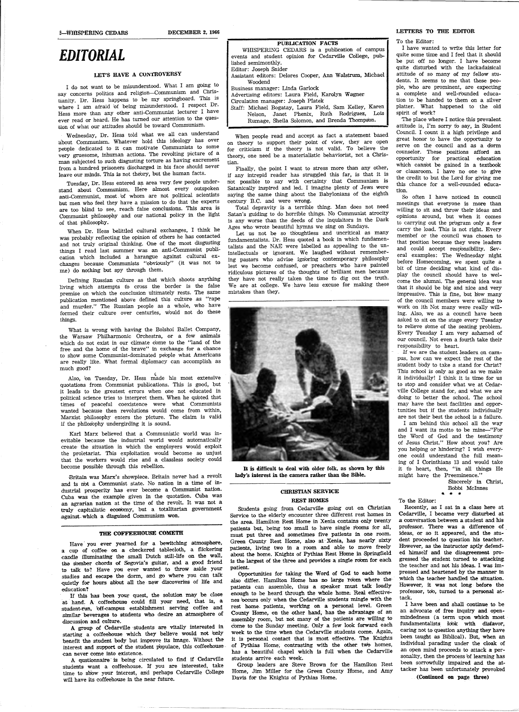# *EDITORIAL*

### LET'S HAVE A CONTROVERSY

I do not want to be misunderstood. What I am going to say concerns politics and religion-Communism and Christianity. Dr. Hess happens to be my springboard. This is where I am afraid of being misunderstood. I respect Dr. Hess more than any other anti~Communist lecturer I have ever read or heard. He has turned our attention to the question of what our attitudes should be toward Communism.

Wednesday, Dr. Hess told what we all can understand about Communism. Whatever hold this ideology has over people dedicated to it can motivate Communists to some very gruesome, inhuman actions. The revolting picture of a man subjected to such disgusting torture as having excrement from a hundred prisoners discharged in his face should never leave our minds. This is not theory, but the human facts.

Tuesday, Dr. Hess entered an area very few people understand about Communism. Here almost every outspoken anti-Communist, most. bf whom are not political scientists but men who feel they have a mission to do that the experts are too blind to see, reach false conclusions. This area is Communist philosophy and our national policy in the light of that philosophy.

When Dr. Hess belittled cultural exchanges, I think he was probably reflecting the opinion of others he has contacted and not truly original thinking. One of the most disgusting things I read last summer was an anti-Communist publication which included a harangue against cultural exchanges because Communists "obviously" (it was not to me) do nothing but spy through them.

Defining Russian culture as that which shoots anything living which attempts to cross the border is the false premise on which the conclusion ultimately rests. The same publication mentioned above defined this culture as "rape and murder." The Russian people as a whole, who have formed their culture over centuries, would not do these things.

Have you ever yearned for a bewitching atmosphere, a cup of coffee. on a checkered tablecloth, a flickering candle illuminating the small Dutch still-life on the wall, the somber chords of Segovia's guitar, and a good friend to talk to? Have you ever wanted to throw aside your studies and escape the dorm, and go where you can talk: quietly for hours about all the new discoveries of life and ,education?

What is wrong with having the Bolshoi Ballet Company, the Warsaw Philharmonic Orchestra, or a few animals which do not exist in our climate come to the "land of the free and the home of the brave" in exchange for a chance to show some Communist-dominated people what Americans are really like. What formal diplomacy can accomplish as much good?

\ Also, bn Tuesday, Dr. Hess made his most extensive quotations from Communist publications. This is good, but it leads to the greatest errors when one not educated in political science tries to interpret them. When he quoted that times of peaceful coexistence were what Communists wanted because then revolutions would come from within, Marxist philosophy enters the picture. The claim is valid if the philosophy undergirding it is sound.

Karl Marx believed that a Communistic world was inevitable because the industrial world would automatically create the situation in which the employers would exploit the proletariat. This exploitation would become so unjust that the workers would rise and a classless society could become possible through this rebellion.

Britain was Marx's showpiece. Britain never had a revolt and is n'ot a Communist state. No nation in a time of industrial prosperity has ever become a Communist nation. Cuba was the example given in the quotation. Cuba was an agrarian nation at the time of the revolt. It was not <sup>a</sup> truly capitalistic econbmy, but a totalitarian governmen<sup>t</sup> against- which a disguised Communism won.

### THE COFFEEHOUSE COMETH

If thls has been your quest, the solution may be close at- hand. A coffeehouse eould fill your need, that is, <sup>a</sup> student-run, 'off-eampus establishment serving coffee and similar beverages to students who desire an atmosphere of discussion and culture.

The place where I notice this prevalent attitude is, I'm sorry fo say, in Student Council. I count it a high privilege and great honor to have the opportunity to serve on the council and as a dorm counselor. These positions afford an opportunity for practical education which cannbt be gained in a textbook or classroom. I have no one to give the credit to but the Lord for giving me this chance for a well-rounded education.

<sup>A</sup>group of Cedarville ·students are vitally interested in starting a coffeehouse which they believe would not bnly benefit the student body but improve its image. Without the interest and support of the student populace, this coffeehouse can never come into existence.

A qustionnaire · is being circulated to find if Cedarville students want a coffeehouse. If you are interested, take time to show your interest, and perhaps Cedarville College will have its coffeehouse in the near future.

### PUBLICATION FACTS

WHISPERING CEDARS is a publication of campus events and student opinion for Cedarville College, published semimonthly. Editor: Joseph Snider

Assistant editors: Delores Cooper, Ann Walstrum, Michael Woodend

Business manager: Linda Garlock

Advertising editors: Laura Field, Karolyn Wagner

Circulation manager: Joseph Platek Staff: Michael Bogatay, Laura Field, Sam Kelley, Karen Nelson, Janet Phenix, Ruth Rodriguez, Lois

Rurnage, Sheila Solomon, and Brenda Thomps'on.

When people read and accept as fact a statement based on theory to support their point of view, they are open for criticism if the theory is not valid. To believe the theorY, one need be a materialistic behaviorist, not a Christian.

Finally, the point I want to stress more than any other, if any intrepid reader has struggled this far, is that it is <sup>n</sup>'ot possible to say with certainty that Communism is Satanically inspired and led. I imagine plenty of Jews were saying the same thing about the Babylonians of the eighth century B.C. and were wrong.

Total depravity is a terrible thing. Man does not need Satan's guiding to do horrible things. No Communist atrocity is any worse than the deeds of the inquisitors in the Dark Ages who· wrote beautiful hymns we sing on Sundays.

> Recently, as I sat in a class here at Cedarville, I became very disturbed at a conversation between a student and his professor. There was a difference of ideas, or so it appeared, and the student proceeded to question his teacher. However, as the instructor aptly defended himself and the disagreement progressed the student turned to attacking. the teacher and not his ideas. I was impressed and heartened by the manner in which the teacher handled the situation. However, it was not long before the professor, tob, turned to a personal attack. I have been and shall continue to be an advocate of free inquiry and openmindedness (a term upon which most fundamentalists idok: with disfavor, caring not to question anything they have been taught as Biblical). But, when an individual parading under the cloak of an open mind proceeds to attack a personality, then the process bf learning has been sorrowfully impaired and the attacker has been unfortunately provoked

Let us not be so th'oughtless and uncritical as many fundamentalists. Dr. Hess quoted a book in which fundamentalists and the NAE were labelled as appealing to the unintellectuals or ignorant. We laughed without remembering pastors who advise ign'oring contemporary philosophy lest we become confused, or preachers who have painted ridiculous pictures of the thoughts of brilliant men because they have not really taken the time to dig out the truth. We are at college. We have less excuse for making these mistakes than they.



It is difficult to deal with older folk, as shown by this lady's interest in the camera rather than the Bible.

### CHRISTIAN SERVICE REST HOMES

Students going from Cedarville going out on Christian Service to the elderly encounter three different rest homes in the area. Hamilton Rest Home in Xenia contains only twenty patients but, being too small to have single rooms for all, must put three and sometimes five patients in one room. Green County Rest Home, also at· Xenia, has nearly sixty patients, living two in a room and able to move freely about the home. Knights of Pythias Rest Home in Springfield is the largest of the three and provides a single room for each

patient.

Opportunities for taking the Word of God to each home also differ. Hamilton Home has no large room where the patients can assemble, thus a speaker must talk loudly enough to be heard through the whole home, Real effectivenes occurs only when the Cedarville students mingle with the rest home patients, working on a personal level. Green County Home, on the other band, has the advantage of an assembly room, but not many of the patients are willing to come to the Sunday meeting. Only a few look forward each week to the time when the Cedarville students come. Again, it is personal contact that is most effective. The Knights of Pythias Home, contrasting with the other two homes, has a beautiful chapel which is full when the Cedarville students arrive each week.

Group leaders are Steve Brown for the Hamilton Rest Home, Jim Miller for the Green County Home, and Amy Davis for the Knights of Pythias Horne.

#### LETIERS TO THE EDITOR

To the Editor:

I have wanted to write this letter for quite some time and I feel that it should be put off no longer. I have become quite disturbed with the lackadaisical attitude of so many of my fellow students. It seems to me that these peo<sup>p</sup>le, who are prominent, are expecting a complete and well-rounded education to be handed to them on a silver <sup>p</sup>latter. What happened to the old spirit of work?

So often I have noticed in council meetings that everyone is more than willing to sit and throw their ideas and opinions. around, but when it comes tc carrying out the program only a few carry the load. This is not right. Every membef or the council was chosen to that position because they were leaders and could accept responsibility. Several examples: The Wednesday night before Homecoming, we spent quite a bit of time deciding what kind of display the council should have to welcome the alumni. The general idea was that it should be big and nice and very impressive. This is fine, but how many of the council members were willing to work on ith Not many were really willing. Also, we as a council have been asked to sit on the stage every Tuesday to relieve some of the seating problem. Every Tuesday I am very ashamed of our council. Not even a fourth take their responsibility to heart.

IT we are the student leaders on campus, how can we expect the rest of the student body to take a stand for Christ? This school is only as good as we make it individually! I think it is time for us to stop and consider what we at Cedarville College stand for, and what we are doing to better the school. The school may have the best facilities and opportunities but if the students individually are not their best the school is a failure.

I am behind this school all the way and I want its motto to be mine-"For the Word of God and the testimony of Jesus Christ." How about you? Are you helping or hindering? I wish everyone could understand the full meaning of I Corinthians 13 and would take it to heart, then, "in all things He might have the Preeminence."

#### To the Editor:

Sincerely in Christ, Bobbi Mclnnes

...

(Continued on page three)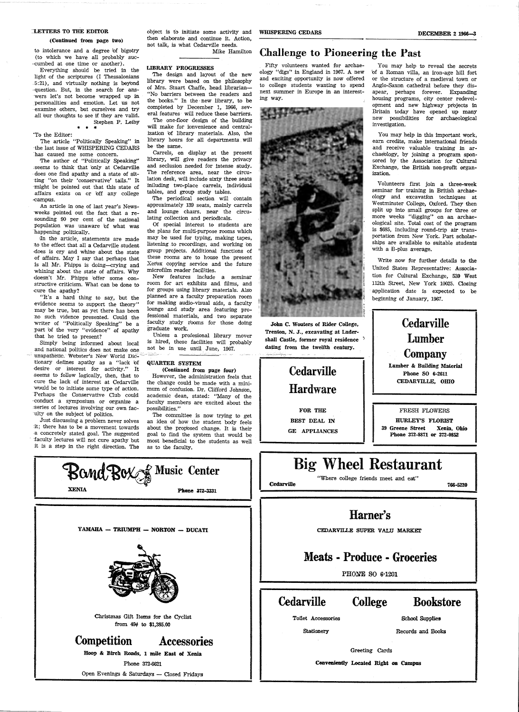#### LETTERS TO THE EDITOR

#### (Oantinued from page two)

object is to initiate some activity and WHISPERING CEDARS then elaborate and continue it. Action, not talk, is what Cedarville needs.

Mike Hamilton to intolerance and a degree bf bigotry (to which we have all probably suc- ·cumbed at one time or another).

everything should be tried in the **LIBRARY PROGRESSES**<br>Everything should be tried in the **LIBRARY PROGRESSES** light of the scriptures (I Thessalonians The design and layout of the new<br>5.21) and virtually nothing is beyond library were based on the philosophy .5:21), and virtually nothing is beyond library were based on the philosophy<br>consection, But, in the search for ans. of Mrs. Stuart Chaffe, head librarian question. But, in the search for ans-<br>were let's not become wrapped up in . "No barriers between the readers and wers let's not become wrapped up in  $\frac{1}{100}$  were between the readers and nonconclition and amotion. Let us not the books." In the new library, to be personalities and emotion. Let us not the books." In the new library, to be<br>examine others but ourselves and try completed by December 1, 1966, sevexamine others, but ourselves and try completed by December 1, 1966, sev-<br>all have thoughts to see if they are valid eral features will reduce these barriers. all bur thoughts to see if they are valid.

Stephen P. Leiby The one-floor design of the building will make for ionvenience and central-To the Editor: ization of library materials. Also, the<br>The article "Politically Speaking" in library hours for all departments will

The author of "Politically Speaking" library, will give readers the privacy<br>negative readers to think that buly at Cedaruille and seclusion needed for intense study.

The article "Politically Speaking" in library hours is a list issue of WHISPERING CEDARS be the same. the last issue of WHISPERING CEDARS 'has caused me some concern. Carrels, on display at the present

seems to think that 'only at Cedarville and seclusion needed for intense study.<br>Goes one find apathy and a state of sit. The reference area, near the circudoes one find apathy and a state of sit-<br>ting "on their "conservative" tails " It lation desk, will include sixty three seats ting "on their 'conservative' tails." It lation desk, will include sixty three seats<br>might be pointed out that this state of liniluding two-place carrels, individual might be pointed out that this state of  $\frac{\text{iniluding}}{\text{tables}}$  two-place carrels, in affairs exists on or off any college tables, and group study tables. affairs exists on or 'off any college

weeks pointed out the fact that a re- and lounge chairs, near the sounding  $90$  per cent of the national lating collection and periodicals. sounding 90 per cent of the national lating collection and periodicals.<br>population was unaware of what was Of special interest to students are population was unaware of what was happening politically. the plans for multi-purpose rooms which

to the effect that all a Cedarville student listening to recordings; and working on does is cry and whine about the state group projects. Additional functions of she selves is cry and whine about the state group projects. Additional functions of of affairs. May I say that perhaps that these rooms are to house the present of affairs. May I say that perhaps that these rooms are to house the present is all Mr. Phipps is doing-crying and  $\chi$  Nerox copying service and the future is all Mr. Phipps is doing-crying and  $\frac{\text{Xerox} \text{ copying service}}{\text{microfilm reader facilities}}$ whining about the state of affairs. Why microfilm reader facilities.<br>
shoen't Mr. Phinne loffer some con- New features include a seminar doesn't Mr. Phipps bffer some constructive criticism. What can be done to room for art exhibits and films, and

evidence seems to support the theory" for making audio-visual aids, a faculty may be true, but as yet there has been lounge and study area featuring promay be true, but as yet there has been lounge and study area featuring pro-<br>no such vidence presented Could the fessional materials, and two separate no such vidence presented. Could the fessional materials, and two separate writer of "Politically Speaking" be a  $\frac{1}{2}$  faculty study rooms for those doing part of the very "evidence" of anathy graduate work. part of the very "evidence" of apathy that he tried to present? Unless a profesional library mover

and national politics does not make one. unapathetic. Webster's New World Dictionary defines apathy as a "lack bf QUARTER SYSTEM desire or interest for activity." It (Continued from page four) seems to follow logically, then, that to However, the administration feels that cure the lack of interest at Cedarville the change could be made with a miniwould be to initiate some type of action. mum of confusion. Dr. Clifford Johnson, Perhaps the Conservative Club could academic dean, stated: "Many of the Perhaps the Conservative Club could academic dean, stated: "Many of the conduct a symposium or organize a faculty members are excited about the series of lectures involving our own fac-<br>
ulty on the subject of politics. The comm

..campus. fl'he periodical section will contain An article in one of last year's News- approximately 139 seats, mainly carrels eeks pointed out the fact that a re- and lounge chairs, near the circu-

In the article, statements are made may be used for typing, making tapes,  $\alpha$  the effect that all a Cedarville student listening to recordings, and working on

the cure the apathy? for groups using library materials. Also the apathy? for groups using library materials. Also "It's a hard thing to say but the planned are a faculty preparation room "It's a hard thing to say, but the planned are a faculty preparation room idence seems to support the theory" for making audio-visual aids, a faculty

Simply being informed about local is hired, these facilities will probably and national politics does not make one not be in use until June, 1967.

the change could be made with a minifaculty members are excited about the

ty on the subject of politics. The committee is now trying to get<br>Just discussing a problem never solves an idea of how the student body feels an idea of how the student body feels it; there has to be a movement towards about the proposed change. It is their a concretely stated goal. The suggested goal to find the system that would be a concretely stated goal. The suggested goal to find the system that would be faculty lectures will not cure apathy but most beneficial to the students as well most beneficial to the students as well

# **Cedarville** Hardware

Volunteers first join a three-week seminar for training in British archaeology and excavation techniques at Westminster College, Oxford. They then split up into small groups for three or more weeks "digging" on an archaeological site. Total cost of the program is \$685, including · round-trip air transportation from New York. Part scholarships are available to suitable students with a B-plus average.

it is a step in the right direction. The as to the faculty.



Christmas Gift Items for the Cyclist from 49¢ to \$1,385.00

## Competition Accessories

Boop & Birch Roads, 1 mile East of Xenia

Phone 372-6621

Open Evenings & Saturdays - Closed Fridays

## Challenge to Pioneering the Past

Fifty volunteers wanted for archaeology "digs'' in England in 1967. A new and exciting opportunity is now offered to college students wanting to spend next summer in Europe in an interesting way.



.John C. Wouters of Rider College, Trenton, N. J., excavating at Ludershall Castle, former royal residence <sup>3</sup> dating from the twelfth century.

> FOR THE BEST DEAL IN GE APPLIANCES

Cedarville

You may help to reveal the secrets bf a Roman villa, an iron-age hill fort or the structure of a medieval town or Anglo-Saxon cathedral before they disapear, perhaps forever. Expanding housing programs, city center redevelopment and new highway projects in Britain today have opened up many new possibilities for archaeological investigation.

You may help in this important work, earn credits, make international friends and receive valuable training in archaeology, by joining a program sponsored by the Association for Cultural Exchange, the British non-profit organization.

Write now for further details to the United States Representative: Association for Cultural Exchange, 539 West 112th Street, New York 10025. Closing application date is expected to be beginning of January, 1967.



"Where college friends meet and eat"

766-5220

## Harner's

CEDARVILLE SUPER VALU MARKET

## Meats - Produce - Groceries